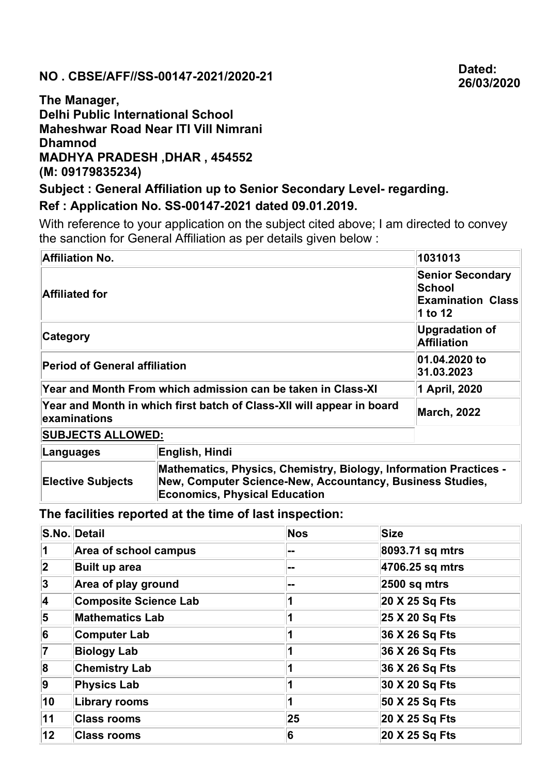## NO . CBSE/AFF//SS-00147-2021/2020-21 Dated:

## The Manager, Delhi Public International School Maheshwar Road Near ITI Vill Nimrani Dhamnod MADHYA PRADESH ,DHAR , 454552 (M: 09179835234)

Subject : General Affiliation up to Senior Secondary Level- regarding.

## Ref : Application No. SS-00147-2021 dated 09.01.2019.

With reference to your application on the subject cited above; I am directed to convey the sanction for General Affiliation as per details given below :

| Affiliation No.                                                                       | 1031013                                                                                                                                                                |                                             |  |
|---------------------------------------------------------------------------------------|------------------------------------------------------------------------------------------------------------------------------------------------------------------------|---------------------------------------------|--|
| <b>Affiliated for</b>                                                                 | <b>Senior Secondary</b><br><b>School</b><br><b>Examination Class</b><br>1 to 12                                                                                        |                                             |  |
| Category                                                                              |                                                                                                                                                                        | <b>Upgradation of</b><br><b>Affiliation</b> |  |
| <b>Period of General affiliation</b>                                                  | 01.04.2020 to<br>31.03.2023                                                                                                                                            |                                             |  |
| Year and Month From which admission can be taken in Class-XI                          | 1 April, 2020                                                                                                                                                          |                                             |  |
| Year and Month in which first batch of Class-XII will appear in board<br>examinations | <b>March, 2022</b>                                                                                                                                                     |                                             |  |
| <b>SUBJECTS ALLOWED:</b>                                                              |                                                                                                                                                                        |                                             |  |
| Languages                                                                             | English, Hindi                                                                                                                                                         |                                             |  |
| <b>Elective Subjects</b>                                                              | Mathematics, Physics, Chemistry, Biology, Information Practices -<br>New, Computer Science-New, Accountancy, Business Studies,<br><b>Economics, Physical Education</b> |                                             |  |

The facilities reported at the time of last inspection:

|                           | S.No. Detail                 | <b>Nos</b> | <b>Size</b>              |
|---------------------------|------------------------------|------------|--------------------------|
| 1                         | Area of school campus        | --         | 8093.71 sq mtrs          |
| 2                         | Built up area                | --         | 4706.25 sq mtrs          |
| 3 <br>Area of play ground |                              |            | $ 2500 \text{ sq m}$ trs |
| 4                         | <b>Composite Science Lab</b> |            | 20 X 25 Sq Fts           |
| 5                         | <b>Mathematics Lab</b>       |            | 25 X 20 Sq Fts           |
| 6                         | <b>Computer Lab</b>          |            | 36 X 26 Sq Fts           |
| 7                         | <b>Biology Lab</b>           |            | 36 X 26 Sq Fts           |
| 8                         | <b>Chemistry Lab</b>         |            | 36 X 26 Sq Fts           |
| 9                         | <b>Physics Lab</b>           |            | 30 X 20 Sq Fts           |
| 10                        | <b>Library rooms</b>         | 1          | 50 X 25 Sq Fts           |
| 11                        | <b>Class rooms</b>           | 25         | 20 X 25 Sq Fts           |
| 12                        | <b>Class rooms</b>           | 6          | 20 X 25 Sq Fts           |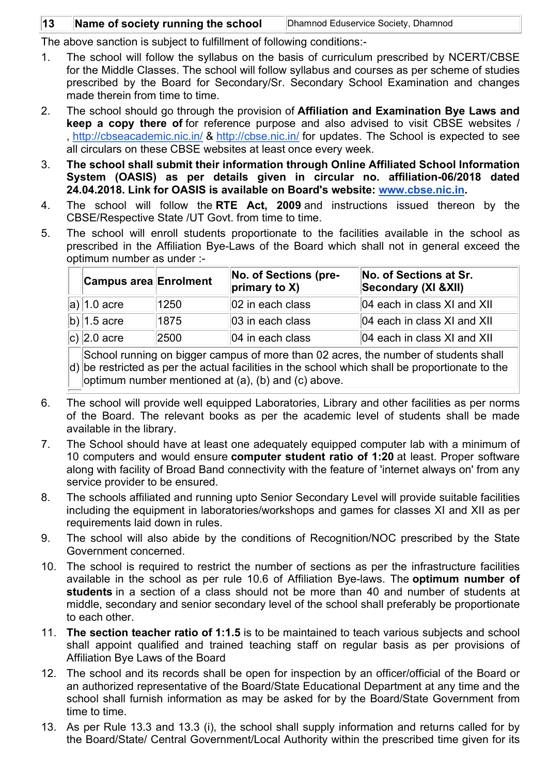## 13 **Name of society running the school** Dhamnod Eduservice Society, Dhamnod

The above sanction is subject to fulfillment of following conditions:-

- 1. The school will follow the syllabus on the basis of curriculum prescribed by NCERT/CBSE for the Middle Classes. The school will follow syllabus and courses as per scheme of studies prescribed by the Board for Secondary/Sr. Secondary School Examination and changes made therein from time to time.
- 2. The school should go through the provision of Affiliation and Examination Bye Laws and keep a copy there of for reference purpose and also advised to visit CBSE websites / , http://cbseacademic.nic.in/ & http://cbse.nic.in/ for updates. The School is expected to see all circulars on these CBSE websites at least once every week.
- 3. The school shall submit their information through Online Affiliated School Information System (OASIS) as per details given in circular no. affiliation-06/2018 dated 24.04.2018. Link for OASIS is available on Board's website: www.cbse.nic.in.
- 4. The school will follow the RTE Act, 2009 and instructions issued thereon by the CBSE/Respective State /UT Govt. from time to time.
- 5. The school will enroll students proportionate to the facilities available in the school as prescribed in the Affiliation Bye-Laws of the Board which shall not in general exceed the optimum number as under :-

| <b>Campus area Enrolment</b> |      | No. of Sections (pre-<br>$\vert$ primary to X) | No. of Sections at Sr.<br>Secondary (XI & XII) |
|------------------------------|------|------------------------------------------------|------------------------------------------------|
| a) $ 1.0$ acre               | 1250 | $ 02 $ in each class                           | 04 each in class XI and XII                    |
| b) $ 1.5$ acre               | 1875 | $ 03 $ in each class                           | 04 each in class XI and XII                    |
| c) $ 2.0$ acre               | 2500 | $ 04 $ in each class                           | $ 04$ each in class XI and XII                 |

d) be restricted as per the actual facilities in the school which shall be proportionate to the School running on bigger campus of more than 02 acres, the number of students shall optimum number mentioned at (a), (b) and (c) above.

- 6. The school will provide well equipped Laboratories, Library and other facilities as per norms of the Board. The relevant books as per the academic level of students shall be made available in the library.
- 7. The School should have at least one adequately equipped computer lab with a minimum of 10 computers and would ensure computer student ratio of 1:20 at least. Proper software along with facility of Broad Band connectivity with the feature of 'internet always on' from any service provider to be ensured.
- 8. The schools affiliated and running upto Senior Secondary Level will provide suitable facilities including the equipment in laboratories/workshops and games for classes XI and XII as per requirements laid down in rules.
- 9. The school will also abide by the conditions of Recognition/NOC prescribed by the State Government concerned.
- 10. The school is required to restrict the number of sections as per the infrastructure facilities available in the school as per rule 10.6 of Affiliation Bye-laws. The optimum number of students in a section of a class should not be more than 40 and number of students at middle, secondary and senior secondary level of the school shall preferably be proportionate to each other.
- 11. The section teacher ratio of 1:1.5 is to be maintained to teach various subjects and school shall appoint qualified and trained teaching staff on regular basis as per provisions of Affiliation Bye Laws of the Board
- 12. The school and its records shall be open for inspection by an officer/official of the Board or an authorized representative of the Board/State Educational Department at any time and the school shall furnish information as may be asked for by the Board/State Government from time to time.
- 13. As per Rule 13.3 and 13.3 (i), the school shall supply information and returns called for by the Board/State/ Central Government/Local Authority within the prescribed time given for its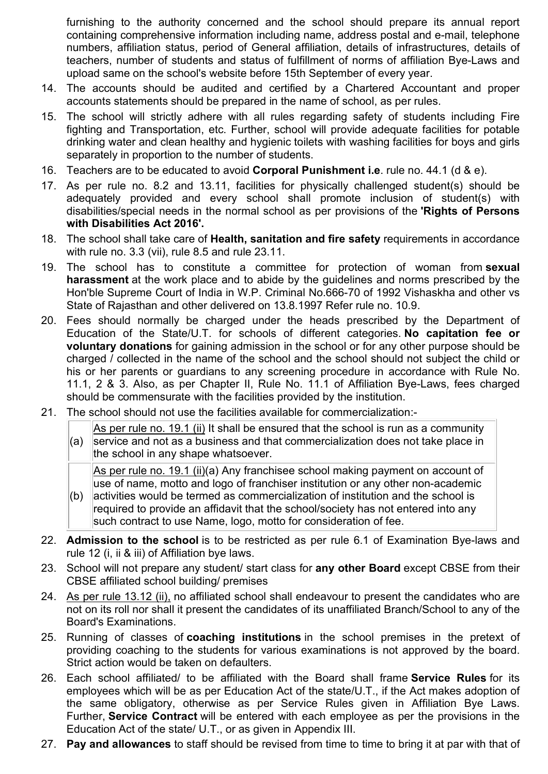furnishing to the authority concerned and the school should prepare its annual report containing comprehensive information including name, address postal and e-mail, telephone numbers, affiliation status, period of General affiliation, details of infrastructures, details of teachers, number of students and status of fulfillment of norms of affiliation Bye-Laws and upload same on the school's website before 15th September of every year.

- 14. The accounts should be audited and certified by a Chartered Accountant and proper accounts statements should be prepared in the name of school, as per rules.
- 15. The school will strictly adhere with all rules regarding safety of students including Fire fighting and Transportation, etc. Further, school will provide adequate facilities for potable drinking water and clean healthy and hygienic toilets with washing facilities for boys and girls separately in proportion to the number of students.
- 16. Teachers are to be educated to avoid Corporal Punishment i.e. rule no. 44.1 (d & e).
- 17. As per rule no. 8.2 and 13.11, facilities for physically challenged student(s) should be adequately provided and every school shall promote inclusion of student(s) with disabilities/special needs in the normal school as per provisions of the 'Rights of Persons with Disabilities Act 2016'.
- 18. The school shall take care of **Health, sanitation and fire safety** requirements in accordance with rule no. 3.3 (vii), rule 8.5 and rule 23.11.
- 19. The school has to constitute a committee for protection of woman from sexual harassment at the work place and to abide by the guidelines and norms prescribed by the Hon'ble Supreme Court of India in W.P. Criminal No.666-70 of 1992 Vishaskha and other vs State of Rajasthan and other delivered on 13.8.1997 Refer rule no. 10.9.
- 20. Fees should normally be charged under the heads prescribed by the Department of Education of the State/U.T. for schools of different categories. No capitation fee or voluntary donations for gaining admission in the school or for any other purpose should be charged / collected in the name of the school and the school should not subject the child or his or her parents or guardians to any screening procedure in accordance with Rule No. 11.1, 2 & 3. Also, as per Chapter II, Rule No. 11.1 of Affiliation Bye-Laws, fees charged should be commensurate with the facilities provided by the institution.
- 21. The school should not use the facilities available for commercialization:-

(a) As per rule no. 19.1 (ii) It shall be ensured that the school is run as a community service and not as a business and that commercialization does not take place in the school in any shape whatsoever.

As per rule no. 19.1 (ii)(a) Any franchisee school making payment on account of use of name, motto and logo of franchiser institution or any other non-academic

- $(b)$ activities would be termed as commercialization of institution and the school is required to provide an affidavit that the school/society has not entered into any such contract to use Name, logo, motto for consideration of fee.
- 22. **Admission to the school** is to be restricted as per rule 6.1 of Examination Bye-laws and rule 12 (i, ii & iii) of Affiliation bye laws.
- 23. School will not prepare any student/ start class for any other Board except CBSE from their CBSE affiliated school building/ premises
- 24. As per rule 13.12 (ii), no affiliated school shall endeavour to present the candidates who are not on its roll nor shall it present the candidates of its unaffiliated Branch/School to any of the Board's Examinations.
- 25. Running of classes of **coaching institutions** in the school premises in the pretext of providing coaching to the students for various examinations is not approved by the board. Strict action would be taken on defaulters.
- 26. Each school affiliated/ to be affiliated with the Board shall frame **Service Rules** for its employees which will be as per Education Act of the state/U.T., if the Act makes adoption of the same obligatory, otherwise as per Service Rules given in Affiliation Bye Laws. Further, Service Contract will be entered with each employee as per the provisions in the Education Act of the state/ U.T., or as given in Appendix III.
- 27. Pay and allowances to staff should be revised from time to time to bring it at par with that of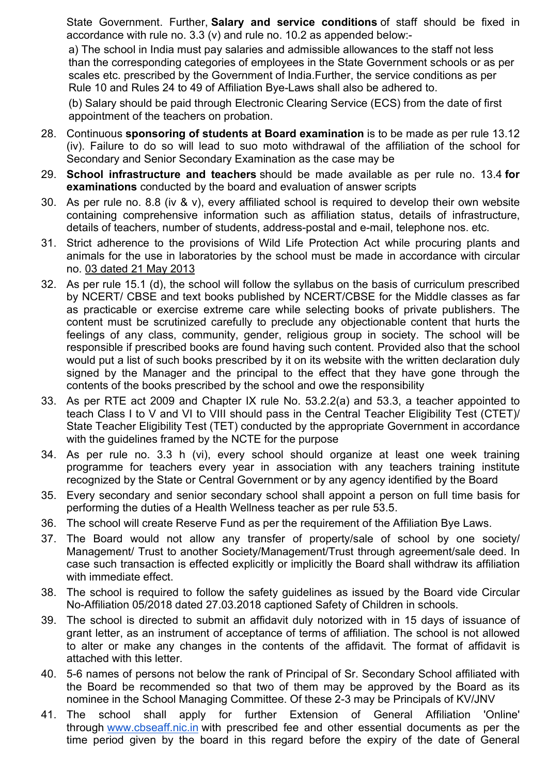State Government. Further, Salary and service conditions of staff should be fixed in accordance with rule no. 3.3 (v) and rule no. 10.2 as appended below:-

a) The school in India must pay salaries and admissible allowances to the staff not less than the corresponding categories of employees in the State Government schools or as per scales etc. prescribed by the Government of India.Further, the service conditions as per Rule 10 and Rules 24 to 49 of Affiliation Bye-Laws shall also be adhered to.

(b) Salary should be paid through Electronic Clearing Service (ECS) from the date of first appointment of the teachers on probation.

- 28. Continuous sponsoring of students at Board examination is to be made as per rule 13.12 (iv). Failure to do so will lead to suo moto withdrawal of the affiliation of the school for Secondary and Senior Secondary Examination as the case may be
- 29. School infrastructure and teachers should be made available as per rule no. 13.4 for examinations conducted by the board and evaluation of answer scripts
- 30. As per rule no. 8.8 (iv & v), every affiliated school is required to develop their own website containing comprehensive information such as affiliation status, details of infrastructure, details of teachers, number of students, address-postal and e-mail, telephone nos. etc.
- 31. Strict adherence to the provisions of Wild Life Protection Act while procuring plants and animals for the use in laboratories by the school must be made in accordance with circular no. 03 dated 21 May 2013
- 32. As per rule 15.1 (d), the school will follow the syllabus on the basis of curriculum prescribed by NCERT/ CBSE and text books published by NCERT/CBSE for the Middle classes as far as practicable or exercise extreme care while selecting books of private publishers. The content must be scrutinized carefully to preclude any objectionable content that hurts the feelings of any class, community, gender, religious group in society. The school will be responsible if prescribed books are found having such content. Provided also that the school would put a list of such books prescribed by it on its website with the written declaration duly signed by the Manager and the principal to the effect that they have gone through the contents of the books prescribed by the school and owe the responsibility
- 33. As per RTE act 2009 and Chapter IX rule No. 53.2.2(a) and 53.3, a teacher appointed to teach Class I to V and VI to VIII should pass in the Central Teacher Eligibility Test (CTET)/ State Teacher Eligibility Test (TET) conducted by the appropriate Government in accordance with the guidelines framed by the NCTE for the purpose
- 34. As per rule no. 3.3 h (vi), every school should organize at least one week training programme for teachers every year in association with any teachers training institute recognized by the State or Central Government or by any agency identified by the Board
- 35. Every secondary and senior secondary school shall appoint a person on full time basis for performing the duties of a Health Wellness teacher as per rule 53.5.
- 36. The school will create Reserve Fund as per the requirement of the Affiliation Bye Laws.
- 37. The Board would not allow any transfer of property/sale of school by one society/ Management/ Trust to another Society/Management/Trust through agreement/sale deed. In case such transaction is effected explicitly or implicitly the Board shall withdraw its affiliation with immediate effect.
- 38. The school is required to follow the safety guidelines as issued by the Board vide Circular No-Affiliation 05/2018 dated 27.03.2018 captioned Safety of Children in schools.
- 39. The school is directed to submit an affidavit duly notorized with in 15 days of issuance of grant letter, as an instrument of acceptance of terms of affiliation. The school is not allowed to alter or make any changes in the contents of the affidavit. The format of affidavit is attached with this letter.
- 40. 5-6 names of persons not below the rank of Principal of Sr. Secondary School affiliated with the Board be recommended so that two of them may be approved by the Board as its nominee in the School Managing Committee. Of these 2-3 may be Principals of KV/JNV
- 41. The school shall apply for further Extension of General Affiliation 'Online' through www.cbseaff.nic.in with prescribed fee and other essential documents as per the time period given by the board in this regard before the expiry of the date of General